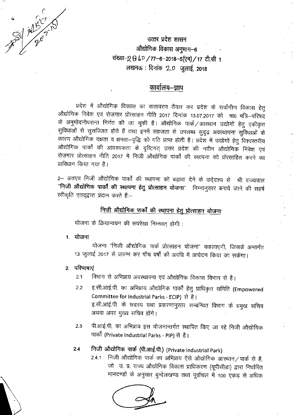APR ALL-10

उत्तर प्रदेश शासन औद्योगिक विकास अनुभाग-6 संख्या-2 8 60 / 77-6-2018-5(एम) / 17 टी.सी 1 लखनऊ: दिनांक 2.0 जुलाई, 2018

# कार्यालय–ज्ञाप

प्रदेश में औद्योगिक विकास का वातावरण तैयार कर प्रदेश के सर्वांगीण विकास हेतु औद्योगिक निवेश एवं रोजगार प्रोत्साहन नीति 2017 दिनांक 13.07.2017 को मा0 मंत्रि-परिषद के अनुमोदनोपरान्त निर्गत की जा चुकी है। औद्योगिक पार्क/आस्थान उद्योगों हेतु एकीकृत सुविधाओं से सुसज्जित होते हैं तथा इनमें सहजता से उपलब्ध सुदृढ़ अवस्थापना सुविधाओं के कारण औद्योगिक दक्षता व क्षमता-वृद्धि को गति प्राप्त होती है। प्रदेश में उद्योगों हेतु विश्वस्तरीय .<br>औद्योगिक पार्कों की आवश्यकता के दृष्टिगत् उत्तर प्रदेश की नवीन औद्योगिक निवेश एवं रोज़गार प्रोत्साहन नीति 2017 में निजी औद्योगिक पार्कों की स्थापना को प्रोत्साहित करने का प्राविधान किया गया है।

2– अतएव निजी औद्योगिक पार्कों की स्थापना को बढ़ावा देने के उदे्दश्य से श्री राज्यपाल ''निजी <mark>औद्योगिक पार्कों की स्थापना हेतु प्रोत्साहन योजना</mark>'' निम्नानुसारं बनाये जाने की सहर्ष स्वीकृति एतद्द्वारा प्रदान करते हैं:--

# <u>निजी औद्योगिक पार्कों की स्थापना हेतु प्रोत्साहन योजना</u>

योजना के क्रियान्वयन की रूपरेखा निम्नवत् होगी :

1 योजना

योजना "निजी औद्योगिक पार्क प्रोत्साहन योजना" कहलाएगी, जिसके अन्तर्गत 13 जुलाई 2017 से प्रारम्भ कर पाँच वर्षों की अवधि में आवेदन किया जा सकेगा।

2. परिभाषाएं

विभाग से अभिप्राय अवस्थापना एवं औद्योगिक विकास विभाग से है।  $2.1$ 

- इ.सी.आई.पी. का अभिप्राय औद्योगिक पार्कों हेतु प्राधिकृत समिति (Empowered  $2.2$ Committee for Industrial Parks - ECIP) से है। इ.सी.आई.पी. के सदस्य यथा प्रकरणानुसार सम्बन्धित विभाग के प्रमुख सचिव अथवा अपर मुख्य सचिव होंगे।
- पी.आई.पी. का अभिप्राय इस योजनान्तर्गत स्थापित किए जा रहे निजी औद्योगिक  $2.3$ पार्कों (Private Industrial Parks - PIP) से है।

## निजी औद्योगिक पार्क (पी.आई.पी.) (Private Industrial Park)  $2.4$

2.4.1 निजी औद्योगिक पार्क का अभिप्राय ऐसे औद्योगिक आस्थान/पार्क से है, जो उ. प्र. राज्य औद्योगिक विकास प्राधिकरण (यूपीसीडा) द्वारा निर्धारित मानदण्डों के अनुसार बुन्देलखण्ड तथा पूर्वांचल में 100 एकड़ से अधिक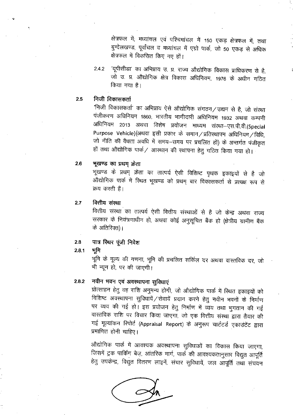क्षेत्रफल में, मध्यांचल एवं पश्चिमांचल में 150 एकड़ क्षेत्रफल में, तथा बुन्देलखण्ड, पूर्वांचल व मध्यांचल में एग्रो पार्क, जो 50 एकड़ से अधिक क्षेत्रफल में विकसित किए गए हों।

'यूपीसीडा' का अभिप्राय उ. प्र. राज्य औद्योगिक विकास प्राधिकरण से है,  $2.4.2$ जो उ. प्र. औद्योगिक क्षेत्र विकास अधिनियम, 1976 के अधीन गठित किया गया है।

#### निजी विकासकर्ता  $2.5$

'निजी विकासकर्ता' का अभिप्राय ऐसे औद्योगिक संगठन/उद्यम से है, जो संस्था पंजीकरण अधिनियम 1860, भारतीय भागीदारी अधिनियम 1932 अथवा कम्पनी अधिनियम २०१३ अथवा विशेष प्रयोजन माध्यम संस्था–एस.पी.वी.(Special Purpose Vehicle)(अथवा इसी प्रकार के समान / प्रतिस्थापन अधिनियम / विधि, जो नीति की वैधता अवधि में समय-समय पर प्रचलित हों) के अन्तर्गत पंजीकृत हों तथा औद्योगिक पार्क/ आस्थान की स्थापना हेतु गठित किया गया हो।

#### $2.6$ भूखण्ड का प्रथम क्रेता

भूखण्ड के प्रथम् क्रेता का तात्पर्य ऐसी विशिष्ट पृथक इकाइयों से है जो औद्योगिक पार्क में स्थित भूखण्ड को प्रथम् बार विकासकर्ता से प्रत्यक्ष रूप से क्रय करती हैं।

#### वित्तीय संस्था 2.7

वित्तीय संस्था का तात्पर्य ऐसी वित्तीय संस्थाओं से है जो केन्द्र अथवा राज्य सरकार के नियंत्रणाधीन हो, अथवा कोई अनुसूचित बैंक हो (क्षेत्रीय ग्रामीण बैंक के अतिरिक्त)।

#### पात्र स्थिर पूंजी निवेश 2.8

#### भगि  $2.8.1$

भूमि के मूल्य की गणना, भूमि की प्रचलित सर्किल दर अथवा वास्तविक दर, जो भी न्यून हो, पर की जाएगी।

#### नवीन भवन एवं अवस्थापना सुविधाएं  $2.8.2$

प्रोत्साहन हेतु वह राशि अनुमन्य होगी, जो औद्योगिक पार्क में स्थित इकाइयों को विशिष्ट अवस्थापना सुविधायें / सेवायें प्रदान करने हेतु नवीन भवनों के निर्माण पर व्यय की गई हो। इस प्रयोजन हेतु निर्माण में व्यय तथा भुगतान की गई वास्तविक राशि पर विचार किया जाएगा, जो एक वित्तीय संस्था द्वारा तैयार की गई मूल्यांकन रिपोर्ट (Appraisal Report) के अनुरूप चार्टटर्ड एकाउंटेंट द्वारा प्रमाणित होनी चाहिए।

औद्योगिक पार्क में आवश्यक अवस्थापना सुविधाओं का विकास किया जाएगा, जिसमें ट्रक पार्किंग बेज़, आंतरिक मार्ग, पार्क की आवश्यकतानुसार विद्युत आपूर्ति हेतु उपकेन्द्र, विद्युत वितरण लाइनें, संचार सुविधायें, जल आपूर्ति तथा संचयन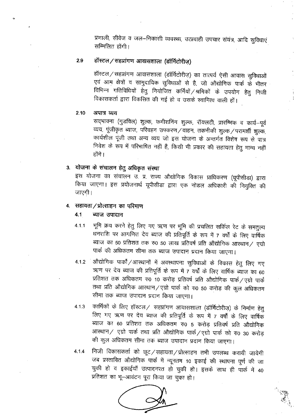प्रणाली, सीवेज व जल-निकासी व्यवस्था, उत्प्रवाही उपचार संयंत्र, आदि सुविधाएं सम्मिलित होंगी।

#### हॉस्टल/सहप्रांगण आवासशाला (डॉर्मिटोरीज) 2.9

हॉस्टल / सहप्रांगण आवासशाला (डॉर्मिटोरीज़) का तात्पर्य ऐसी आवास सुविधाओं एवं आम क्षेत्रों व सामुदायिक सुविधाओं से है, जो औद्योगिक पार्क क़ें भीतर विभिन्न गतिविधियों हेतु नियोजित कर्मियों /श्रमिकों के उपयोग हेतु निजी विकासकर्ता द्वारा विकसित की गई हो व उसके स्वामित्व वाली हों।

#### $2.10$ अपात्र व्यय

सद्भावना (गुडविल) शुल्क, कमीशनिंग शुल्क, रॉयलटी, प्रारम्भिक व कार्य-पूर्व व्यय, पूंजीकृत ब्याज, परिवहन उपकरण/वाहन, तकनीकी शुल्क/परामर्शी शुल्क, कार्यशील पूंजी तथा अन्य व्यय जो इस योजना के अन्तर्गत विशेष रूप से पात्र निवेश के रूप में परिभाषित नहीं हैं, किसी भी प्रकार की सहायता हेतु मान्य नहीं होंगे ।

## 3. योजना के संचालन हेतु अधिकृत संस्था

इस योजना का संचालन उ. प्र. राज्य औद्योगिक विकास प्राधिकरण (यूपीसीडा) द्वारा किया जाएगा। इस प्रयोजनार्थ यूपीसीडा द्वारा एक नोडल अधिकारी की नियुक्ति की जाएगी।

## 4. सहायता / प्रोत्साहन का परिमाण

#### $4.1$ ब्याज उपादान

- भूमि क्रय करने हेतु लिए गए ऋण पर भूमि की प्रचलित सर्किल रेट के समतुल्य  $4.1.1$ धनराशि पर आगणित देय ब्याज की प्रतिपूर्ति के रूप में 7 वर्षों के लिए वार्षिक ब्याज का 50 प्रतिशत तक रू0 50 लाख प्रतिवर्ष प्रति औद्योगिक आस्थान / एग्रो पार्क की अधिकतम सीमा तक ब्याज उपादान प्रदान किया जाएगा।
- औद्योगिक पार्को/आस्थानों में अवस्थापना सुविधाओं के विकास हेतु लिए गए  $4.1.2$ ऋण पर देय ब्याज की प्रतिपूर्ति के रूप में 7 वर्षों के लिए वार्षिक ब्याज का 60 प्रतिशत तक अधिकतम रु0 10 करोड़ प्रतिवर्ष प्रति औद्योगिक पार्क / एग्रो पार्क तथा प्रति औद्योगिक आस्थान/एग्रो पार्क को रु0 50 करोड़ की कुल अधिकतम सीमा तक ब्याज उपादान प्रदान किया जाएगा।
- कार्मिकों के लिए हॉस्टल/ सहप्रांगण आवासशाला (डॉर्मिटोरीज़) के निर्माण हेतु  $4.1.3$ लिए गए ऋण पर देय ब्याज की प्रतिपूर्ति के रूप में 7 वर्षों के लिए वार्षिक ब्याज का 60 प्रतिशत तक अधिकतम रु0 5 करोड़ प्रतिवर्ष प्रति औद्योगिक आस्थान/ एग्रो पार्क तथा प्रति औद्योगिक पार्क/एग्रो पार्क को रु0 30 करोड़ की कूल अधिकतम सीमा तक ब्याज उपादान प्रदान किया जाएगा।
- निजी विकासकर्ता को छूट / सहायता / प्रोत्साहन तभी उपलब्ध करायी जायेगी  $4.1.4$ जब प्रस्तावित औद्योगिक पार्क में न्यूनतम 10 इकाई की स्थापना पूर्ण की जा चुकी हो व इकाईयाँ उत्पादनरत हो चुकी हो। इसके साथ ही पार्क में 40 प्रतिशत का भू-आवंटन पूरा किया जा चुका हो।

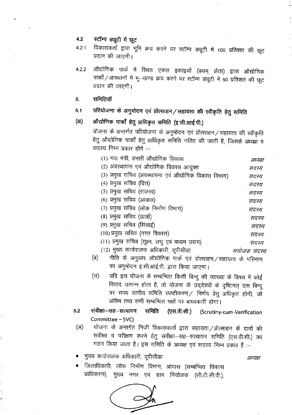#### स्टॉम्प ड्यूटी में छूट  $4.2$

विकासकर्ता द्वारा भूमि क्रय करने पर स्टॉम्प ड्यूटी में 100 प्रतिशत की छूट  $4.2.1$ प्रदान की जाएगी।

औद्योगिक पार्क में स्थित एकल इकाइयों (प्रथम् क्रेता) द्वारा औद्योगिक  $4.2.2$ पार्कों / आस्थानों में भू-खण्ड क्रय करने पर स्टॉम्प ड्यूटी में 50 प्रतिशत की छूट प्रदान की जाएगी।

- समितियाँ 5.
- परियोजना के अनुमोदन एवं प्रोत्साहन/सहायता की स्वीकृति हेतु समिति  $5.1$

#### औद्योगिक पार्कों हेतु प्राधिकृत समिति (इ.सी.आई.पी.)  $(3)$

योजना के अन्तर्गत परियोजना के अनुमोदन एवं प्रोत्साहन / सहायता की स्वीकृति हेतु औद्योगिक पार्को हेतु प्राधिकृत समिति गठित की जाती है, जिसके अध्यक्ष व सदस्य निम्न प्रकार होंगे :--

| (1) मा0 मंत्री, प्रभारी औद्योगिक विकास               | अध्यक्ष |
|------------------------------------------------------|---------|
| (2) अवस्थापना एवं औद्योगिक विकास आयुक्त              | सदस्य   |
| (3) प्रमुख सचिव (अवस्थापना एवं औद्योगिक विकास विभाग) | सदस्य   |
| (4) प्रमुख सचिव (वित्त)                              | सदस्य   |
| (5) प्रमुख सचिव (राजस्व)                             | सदस्य   |
| (6) प्रमुख सचिव (आवास)                               | सदस्य   |
| (7) प्रमुख सचिव (लोक निर्माण विभाग)                  | सदस्य   |
| (8) प्रमुख सचिव (ऊर्जा)                              | सदस्य   |
| (9) प्रमुख सचिव (सिंचाई)                             | सदस्य   |
| (10) प्रमुख सचिव (नगर विकास)                         | सदस्य   |
| (11) प्रमुख सचिव (सूक्ष्म, लघु एवं मध्यम उद्यम)      | सदस्य   |

- (12) मुख्य कार्यपालक अधिकारी, यूपीसीडा संयोजक सदस्य
- नीति के अनुसार औद्योगिक पार्क एवं प्रोत्साहन/सहायता के परिमाण (ন) का अनुमोदन इ.सी.आई.पी. द्वारा किया जाएगा।
- यदि इस योजना से सम्बन्धित किसी बिन्दु की व्याख्या के विषय में कोई (स) विवाद उत्पन्न होता है, तो योजना के उद्देश्यों के दृष्टिगत उस बिन्द पर राज्य स्तरीय समिति स्पष्टीकरण / निर्णय हेतु अधिकृत होगी, जो अंतिम तथा सभी सम्बन्धित पक्षों पर बाध्यकारी होगा।
- $5.2$ संवीक्षा–सह–सत्यापन समिति (एस.वी.सी.) (Scrutiny-cum-Verification Committee - SVC)
- योजना के अन्तर्गत निजी विकासकर्ता द्वारा सहायता/प्रोत्साहन के दावों की  $(3I)$ संवीक्षा व परीक्षण करने हेतु संवीक्षा-सह-सत्यापन समिति (एस.वी.सी.) का गठन किया जाता है। इस समिति के अध्यक्ष एवं सदस्य निम्न प्रकार हैं :--

मुख्य कार्यपालक अधिकारी, यूपीसीड़ा

अध्यक्ष

जिलाधिकारी, लोक निर्माण विभाग, आवास (सम्बन्धित विकास प्राधिकरण), मुख्य नगर एवं ग्राम नियोजक (सी.टी.सी.पी.),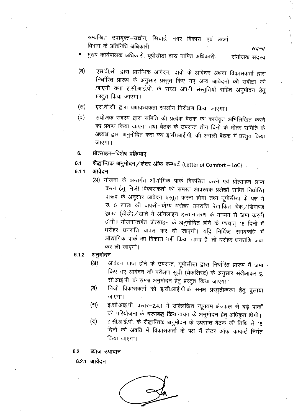सम्बन्धित उपायुक्त–उद्योग, सिंचाई, नगर विकास एवं ऊर्जा विभाग के प्रतिनिधि अधिकारी

सदस्य मुख्य कार्यपालक अधिकारी, यूपीसीडा द्वारा नामित अधिकारी संयोजक सदस्य

- एस.वी.सी. द्वारा प्रारम्भिक आवेदन, दावों के आवेदन अथवा विकासकर्ता द्वारा (ন) निर्धारित प्रारूप के अनुसार प्रस्तुत किए गए अन्य आवेदनों की संवीक्षा की जाएगी तथा इ.सी.आई.पी. के समक्ष अपनी संस्तुतियों सहित अनुमोदन हेतु प्रस्तुत किया जाएगा।
- एस.वी.सी. द्वारा यथावश्यकता स्थलीय निरीक्षण किया जाएगा।  $(\overline{H})$
- संयोजक सदस्य द्वारा समिति की प्रत्येक बैठक का कार्यवृत्त अभिलिखित करने (ਰ) का प्रबन्ध किया जाएगा तथा बैठक के उपरान्त तीन दिनों के भीतर समिति के अध्यक्ष द्वारा अनुमोदित करा कर इ.सी.आई.पी. की अगली बैठक में प्रस्तुत किया जाएगा।
- 6. प्रोत्साहन-विशेष प्रक्रियाएं
- सैद्धान्तिक अनुमोदन/लेटर ऑफ कम्फर्ट (Letter of Comfort LoC)  $6.1$
- आवेदन  $6.1.1$ 
	- (अ) योजना के अन्तर्गत औद्योगिक पार्क विकसित करने एवं प्रोत्साहन प्राप्त करने हेतु निजी विकासकर्ता को समस्त आवश्यक प्रलेखों सहित निर्धारित प्रारूप के अनुसार आवेदन प्रस्तुत करना होगा तथा यूपीसीड़ा के पक्ष में रु. 5 लाख की वापसी-योग्य धरोहर धनराशि रेखांकित चेक/डिमाण्ड ड्राफ्ट (डीडी)/खाते में ऑनलाइन हस्तानांतरण के माध्यम से जमा करनी होगी। योजनान्तर्गत प्रोत्साहन के अनुमोदित होने के पश्चात् 15 दिनों में धरोहर धनराशि वापस कर दी जाएगी। यदि निर्दिष्ट समयावधि में औद्योगिक पार्क का विकास नहीं किया जाता है, तो धरोहर धनराशि जब्त कर ली जाएगी।
- अनुमोदन 6.1.2
	- आवेदन प्राप्त होने के उपरान्त, यूपीसीडा द्वारा निर्धारित प्रारूप में जमा  $(A)$ किए गए आवेदन की परीक्षण सूची (चेकलिस्ट) के अनुसार संवीक्षाकर इ. सी.आई.पी. के समक्ष अनुमोदन हेतु प्रस्तुत किया जाएगा।
	- निजी विकासकर्ता को इ.सी.आई.पी.के समक्ष प्रस्तुतीकरण हेतु बुलाया (ন) जाएगा।
	- इ.सी.आई.पी. प्रस्तर-2.4.1 में उल्लिखित न्यूनतम क्षेत्रफल से बड़े पार्कों (स) की परियोजना के चरणबद्ध क्रियान्वयन के अनुमोदन हेतु अधिकृत होगी।
	- इ.सी.आई.पी. के सैद्धान्तिक अनुमोदन के उपरान्त बैठक की तिथि से 15 (ਰ) दिनों की अवधि में विकासकर्ता के पक्ष में लेटर ऑफ कम्फर्ट निर्गत किया जाएगा।
- $6.2$ ब्याज उपादान
	- 6.2.1 आवेदन

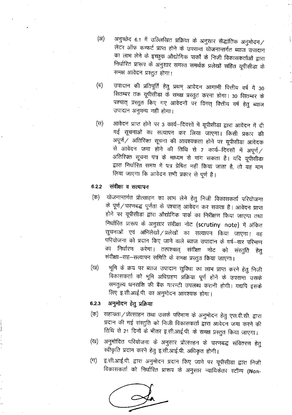- अनुच्छेद 6.1 में उल्लिखित प्रक्रिया के अनुसार सैद्धांतिक अनुमोदन/  $(3I)$ लेटर ऑफ कम्फर्ट प्राप्त होने के उपरान्त योजनान्तर्गत ब्याज उपादान का लाभ लेने के इच्छुक औद्योगिक पार्कों के निजी विकासकर्ताओं द्वारा निर्धारित प्रारूप के अनुसार समस्त समर्थक प्रलेखों सहित यूपीसीडा के समक्ष आवेदन प्रस्तुत होगा।
- (ब) उपादान की प्रतिपूर्ति हेतु प्रथम् आवेदन आगामी वित्तीय वर्ष में 30 सितम्बर तक यूपीसीडा के समक्ष प्रस्तुत करना होगा। 30 सितम्बर के पश्चात् प्रस्तुत किए गए आवेदनों पर विगत् वित्तीय वर्ष हेतु ब्याज उपादान अनुमन्य नहीं होगा।
- आवेदन प्राप्त होने पर 3 कार्य-दिवसों में यूपीसीडा द्वारा आवेदन में दी  $(\forall t)$ गई सूचनाओं का सत्यापन कर लिया जाएगा। किसी प्रकार की अपूर्ण / अतिरिक्त सूचना की आवश्यकता होने पर यूपीसीडा आवेदक से आवेदन जमा होने की तिथि से 7 कार्य-दिवसों में अपूर्ण / अतिरिक्त सूचना पत्र के माध्यम से मांग सकता है। यदि यूपीसीडा द्वारा निर्धारित समय में पत्र प्रेषित नहीं किया जाता है, तो यह मान लिया जाएगा कि आवेदन सभी प्रकार से पूर्ण है।

#### संवीक्षा व सत्यापन  $6.2.2$

- योजनान्तर्गत प्रोत्साहन का लाभ लेने हेतु निजी विकासकर्ता परियोजना (क) के पूर्ण/चरणबद्ध पूर्णता के पश्चात् आवेदन कर सकता है। आवेदन प्राप्त होने पर यूपीसीडा द्वारा औद्योगिक पार्क का निरीक्षण किया जाएगा तथा निर्धारित प्रारूप के अनुसार संवीक्षा नोट (scrutiny note) में अंकित सूचनाओं एवं अभिलेखों / प्रलेखों का सत्यापन किया जाएगा। वह परियोजना को प्रदान किए जाने वाले ब्याज उपादान के वर्ष-वार परिमाण का निर्धारण करेगा। तत्पश्चात् संवीक्षा नोट को संस्तुति हेतु संवीक्षा-सह-सत्यापन समिति के समक्ष प्रस्तुत किया जाएगा।
- भूमि के क्रय पर ब्याज उपादान सुविधा का लाभ प्राप्त करने हेतु निजी (ख) विकासकर्ता को भूमि अधिग्रहण प्रक्रिया पूर्ण होने के उपरान्त उसके समतुल्य धनराशि की बैंक गारण्टी उपलब्ध करानी होगी। यद्यपि इसके लिए इ.सी.आई.पी. का अनुमोदन आवश्यक होगा।

#### अनुमोदन हेतु प्रक्रिया  $6.2.3$

- सहायता / प्रोत्साहन तथा उसके परिमाण के अनुमोदन हेतु एस.वी.सी. द्वारा (क) प्रदान की गई संस्तुति को निजी विकासकर्ता द्वारा आवेदन जमा करने की तिथि से 21 दिनों के भीतर इ.सी.आई.पी. के समक्ष प्रस्तुत किया जाएगा।
- अनुमोदित परियोजना के अनुसार प्रोत्साहन के चरणबद्ध संवितरण हेतु (ख) स्वीकृति प्रदान करने हेतु इ.सी.आई.पी. अधिकृत होगी।
- इ.सी.आई.पी. द्वारा अनुमोदन प्रदान किए जाने पर यूपीसीडा द्वारा निजी  $(\Pi)$ विकासकर्ता को निर्धारित प्रारूप के अनुसार न्यायिकेतर स्टॉम्प (Non-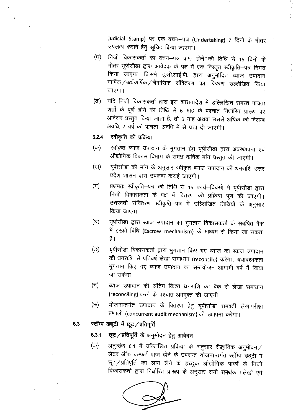judicial Stamp) पर एक वचन-पत्र (Undertaking) 7 दिनों के भीतर उपलब्ध कराने हेतु सूचित किया जाएगा।

- निजी विकासकर्ता का वचन–पत्र प्राप्त होने~की तिथि से 15 दिनों के (ঘ) भीतर यूपीसीडा द्वारा आवेदक के पक्ष में एक विस्तृत स्वीकृति–पत्र निर्गत किया जाएगा, जिसमें इ.सी.आई.पी. द्वारा अनुमोदित ब्याज उपादान वार्षिक / अर्धवार्षिक / त्रैमासिक) संवितरण का विवरण उल्लेखित किया जाएगा।
- यदि निजी विकासकर्ता द्वारा इस शासनादेश में उल्लिखित समस्त पात्रता (ভ) शर्तों के पूर्ण होने की तिथि से 6 माह के पश्चात् निर्धारित प्रारूप पर आवेदन प्रस्तुत किया जाता है, तो 6 माह अथवा उससे अधिक की विलम्ब अवधि, 7 वर्ष की पात्रता-अवधि में से घटा दी जाएगी।

#### स्वीकृति की प्रक्रिया  $6.2.4$

- स्वीकृत ब्याज उपादान के भुगतान हेतु यूपीसीडा द्वारा अवस्थापना एवं (क) औद्योगिक विकास विभाग के समक्ष वार्षिक मांग प्रस्तुत की जाएगी।
- यूपीसीडा की मांग के अनुसार स्वीकृत ब्याज उपादान की धनराशि उत्तर (ख) प्रदेश शासन द्वारा उपलब्ध कराई जाएगी।
- प्रथमतः स्वीकृति–पत्र की तिथि से 15 कार्य–दिवसों में यूपीसीडा द्वारा  $(\Pi)$ निजी विकासकर्ता के पक्ष में वितरण की प्रक्रिया पूर्ण की जाएगी। उत्तरवर्ती संवितरण स्वीकृति–पत्र में उल्लिखित तिथियों के अनुसार किया जाएगा।
- यूपीसीडा द्वारा ब्याज उपादान का भुगतान विकासकर्ता के सबंधित बैंक (घ) में इस्क्रो विधि (Escrow mechanism) के माध्यम से किया जा सकता है ।
- यूपीसीडा विकासकर्ता द्वारा भुगतान किए गए ब्याज का ब्याज उपादान (ङ) की धनराशि से प्रतिवर्ष लेखा समाधान (reconcile) करेगा। यथावश्यकता भुगतान किए गए ब्याज उपादान का समायोजन आगामी वर्ष में किया जा सकेगा।
- ब्याज उपादान की अंतिम किश्त धनराशि का बैंक से लेखा समाधान (च) (reconciling) करने के पश्चात् अवमुक्त की जाएगी।
- योजनान्तर्गत उपादान के वितरण हेतु यूपीसीडा समवर्ती लेखापरीक्षा (ত) प्रणाली (concurrent audit mechanism) की स्थापना करेगा।

### स्टॉम्प ड्यूटी में छूट / प्रतिपूर्ति 6.3

6.3.1 छूट/प्रतिपूर्ति के अनुमोदन हेतु आवेदन

अनुच्छेद 6.1 में उल्लिखित प्रक्रिया के अनुसार सैद्धांतिक अनुमोदन $\angle$ (क) लेटर ऑफ कम्फर्ट प्राप्त होने के उपरान्त योजनान्तर्गत स्टॉम्प ड्यूटी में छूट / प्रतिपूर्ति का लाभ लेने के इच्छुक औद्योगिक पार्कों के निजी विकासकर्ता द्वारा निर्धारित प्रारूप के अनुसार सभी समर्थक प्रलेखों एवं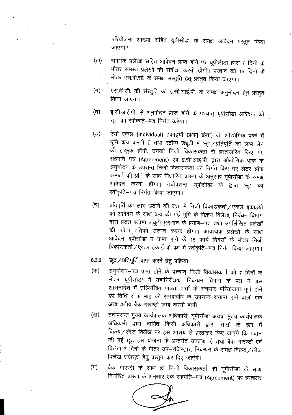परियोजना आख्या सहित यूपीसीडा के समक्ष आवेदन प्रस्तुत किया जाएगा।

- समर्थक प्रलेखों सहित आवेदन प्राप्त होने पर यूपीसीडा द्वारा 7 दिनों के (ख) भीतर समस्त प्रलेखों की संवीक्षा करनी होगी। प्रस्ताव को 15 दिनों के भीतर एस.वी.सी. के समक्ष संस्तुति हेतु प्रस्तुत किया जाएगा।
- एस.वी.सी. की संस्तुति को इ.सी.आई.पी. के समक्ष अनुमोदन हेतु प्रस्तुत  $(\pi)$ किया जाएगा।
- इ.सी.आई.पी. से अनुमोदन प्राप्त होने के पश्चात् यूपीसीडा आवेदक को (ਬ) छूट का स्वीकृति-पत्र निर्गत करेगा।
- ऐसी एकल (individual) इकाइयाँ (प्रथम् क्रेता) जो औद्योगिक पार्क में (ভ) भूमि क्रय करती हैं तथा स्टॉम्प ड्यूटी में छूट / प्रतिपूर्ति का लाभ लेने की इच्छुक होंगी, उनको निजी विकासकर्ता से हस्ताक्षरित किए गए सहमति-पत्र (Agreement) एवं इ.सी.आई.पी. द्वारा औद्योगिक पार्क के अनुमोदन के उपरान्त निजी विकासकर्ता को निर्गत किए गए लेटर ऑफ कम्फर्ट की प्रति के साथ निर्धारित प्रारूप के अनुसार यूपीसीड़ा के समक्ष आवेदन करना होगा। तदोपरान्त यूपीसीडा के द्वारा छूट का स्वीकृति-पत्र निर्गत किया जाएगा।
- प्रतिपूर्ति का लाभ उठाने की दशा में निजी विकासकर्ता/एकल इकाइयों (च) को आवेदन के साथ क्रय की गई भूमि के विक्रय विलेख, निबंधन विभाग द्वारा प्रदत्त स्टॉम्प ड्यूटी भुगतान के प्रमाण-पत्र तथा उपर्लिखित प्रलेखों की फोटो प्रतिको संलग्न करना होगा। आवश्यक प्रलेखों के साथ आवेदन यूपीसीड़ा में प्राप्त होने के 15 कार्य–दिवसों के भीतर निजी विकासकर्ता/एकल इकाई के पक्ष में स्वीकृति–पत्र निर्गत किया जाएगा।

## छूट / प्रतिपूर्ति प्राप्त करने हेतु प्रक्रिया 6.3.2

- अनुमोदन–पत्र प्राप्त होने के पश्चात् निजी विकासकर्ता को 7 दिनों के (क) भीतर यूपीसीडा में महानिरीक्षक, निबन्धन विभाग के पक्ष में इस शासनादेश में उल्लिखित पात्रता शर्तों के अनुसार परियोजना पूर्ण होने की तिथि से 6 माह की समयावधि के उपरान्त समाप्त होने वाली एक अखण्डनीय बैंक गारण्टी जमा करनी होगी।
- तदोपरान्त मुख्य कार्यपालक अधिकारी, यूपीसीडा अथवा मुख्य कार्यपालक (ত্ৰ) अधिकारी द्वारा नामित किसी अधिकारी द्वारा साक्षी के रूप में विक्रय / लीज़ विलेख पर इस आशय से हस्ताक्षर किए जाएंगे कि प्रदान की गई छूट इस योजना के अन्तर्गत उपलब्ध है तथा बैंक गारण्टी एवं विलेख 7 दिनों के भीतर उप-रजिस्ट्रार, निबन्धन के समक्ष विक्रय/लीज़ विलेख रजिस्ट्री हेतु प्रस्तुत कर दिए जाएंगे।
- बैंक गारण्टी के साथ ही निजी विकासकर्ता को यूपीसीडा के साथ  $(\top)$ निर्धारित प्रारूप के अनुसार एक सहमति–पत्र (Agreement) पर हस्ताक्षर

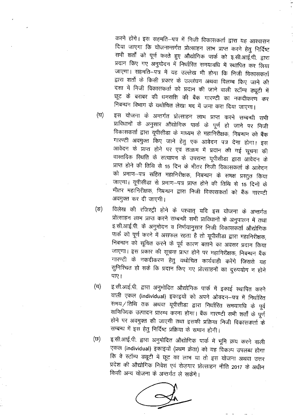करने होंगे। इस सहमति—पत्र में निजी विकासकर्ता द्वारा यह आश्वासन दिया जाएगा कि योजनान्तर्गत प्रोत्साहन लाभ प्राप्त करने हेतु निर्दिष्ट सभी शर्तों को पूर्ण करते हुए औद्योगिक पार्क को इ.सी.आई.पी. द्वारा प्रदान किए गए अनुमोदन में निर्धारित समयावधि में स्थापित कर लिया जाएगा। सहमति-पत्र में यह उल्लेख भी होगा कि निजी विकासकर्ता द्वारा शर्तों के किसी प्रकार के उल्लंघन अथवा विलम्ब किए जाने की दशा में निजी विकासकर्ता को प्रदान की जाने वाली स्टॉम्प ड्यूटी में छूट के बराबर की धनराशि की बैंक गारण्टी का नकदीकरण कर ...<br>निबन्धन विभाग के यथोचित लेखा मद में जमा करा दिया जाएगा।

- इस योजना के अन्तर्गत प्रोत्साहन लाभ प्राप्त करने सम्बन्धी सभी (ਬ) प्राविधानों के अनुसार औद्योगिक पार्क के पूर्ण हो जाने पर निजी विकासकर्ता द्वारा यूपीसीडा के माध्यम से महानिरीक्षक, निबन्धन को बैंक गारण्टी अवमुक्त किए जाने हेतु एक आवेदन पत्र देना होगा। इस आवेदन के प्राप्त होने पर एवं तत्क्रम में प्रदान की गई सूचना की वास्तविक स्थिति के सत्यापन के उपरान्त यूपीसीडा द्वारा आवेदन के प्राप्त होने की तिथि से 15 दिन के भीतर निजी विकासकर्ता के आवेदन को प्रमाण–पत्र सहित महानिरीक्षक, निबन्धन के समक्ष प्रस्तुत किया जाएगा। यूपीसीडा से प्रमाण-पत्र प्राप्त होने की तिथि से 15 दिनों के भीतर महानिरीक्षक, निबन्धन द्वारा निजी विकासकर्ता को बैंक गारण्टी अवमुक्त कर दी जाएगी।
- विलेख की रजिस्ट्री होने के पश्चात् यदि इस योजना के अन्तर्गत  $(\overline{S})$ प्रोत्साहन लाभ प्राप्त करने सम्बन्धी सभी प्राविधानों के अनुपालन में तथा इ.सी.आई.पी. के अनुमोदन व निर्णयानुसार निजी विकासकर्ता औद्योगिक पार्क को पूर्ण करने में असफल रहता है तो यूपीसीड़ा द्वारा महानिरीक्षक, निबन्धन को सूचित करने के पूर्व कारण बताने का अवसर प्रदान किया जाएगा। इस प्रकार की सूचना प्राप्त होने पर महानिरीक्षक, निबन्धन बैंक गारण्टी के नकदीकरण हेतु यथोचित कार्यवाही करेंगे जिससे यह सुनिश्चित हो सके कि प्रदान किए गए प्रोत्साहनों का दुरुपयोग न होने पाए।
- इ.सी.आई.पी. द्वारा अनुमोदित औद्योगिक पार्क में इकाई स्थापित करने (च) वाली एकल (individual) इकाइयों को अपने ओवदन-पत्र में निर्धारित समय / तिथि तक अथवा यूपीसीड़ा द्वारा निर्धारित समयावधि के पूर्व वाणिज्यिक उत्पादन प्रारम्भ करना होगा। बैंक गारण्टी सभी शर्तों के पूर्ण होने पर अवमुक्त की जाएगी तथा इसकी प्रक्रिया निजी विकासकर्ता के सम्बन्ध में इस हेतु निर्दिष्ट प्रक्रिया के समान होगी।
- इ.सी.आई.पी. द्वारा अनुमोदित औद्योगिक पार्क में भूमि क्रय करने वाली (छ) एकल (individual) इकाइयों (प्रथम क्रेता) को यह विकल्प उपलब्ध होगा कि वे स्टॉम्प ड्यूटी में छूट का लाभ या तो इस योजना अथवा उत्तर प्रदेश की औद्योगिक निवेश एवं रोज़गार प्रोत्साहन नीति 2017 के अधीन किसी अन्य योजना के अन्तर्गत ले सकेंगे।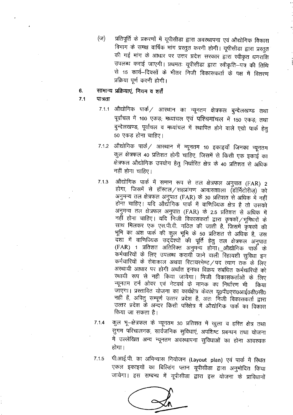प्रतिपूर्ति के प्रकरणों में यूपीसीडा द्वारा अवस्थापना एवं औद्योगिक विकास (ज) विभाग के समक्ष वार्षिक मांग प्रस्तुत करनी होगी। यूपीसीडा द्वारा प्रस्तुत की गई मांग के आधार पर उत्तर प्रदेश सरकार द्वारा स्वीकृत धनराशि उपलब्ध कराई जाएगी। प्रथमतः यूपीसीडा द्वारा स्वीकृति–पत्र की तिथि से 15 कार्य--दिवसों के भीतर निजी विकासकर्ता के पक्ष में वितरण प्रक्रिया पूर्ण करनी होगी।

#### सामान्य प्रक्रियाएं, नियम व शर्तें 6.

#### $7.1$ पात्रता

- 7.1.1 औद्योगिक पार्क / आस्थान का न्यूनतम क्षेत्रफल बुन्देलखण्ड तथा पूर्वांचल में 100 एकड़; मध्यांचल एवं पश्चिमांचल में 150 एकड़; तथा बुन्देलखण्ड, पूर्वांचल व मध्यांचल में स्थापित होने वाले एग्रो पार्क हेतु 50 एकड होना चाहिए।
- 7.1.2 औद्योगिक पार्क/ आस्थान में न्यूनतम 10 इकाइयाँ जिनका न्यूनतम कुल क्षेत्रफल 40 प्रतिशत होनी चाहिए, जिसमें से किसी एक इकाई का क्षेत्रफल औद्योगिक उपयोग हेतु निर्धारित क्षेत्र के 40 प्रतिशत से अधिक नहीं होना चाहिए।
- औद्योगिक पार्क में समान रूप से तल क्षेत्रफल अनुपात (FAR) 2  $7.1.3$ होगा, जिसमें से हॉस्टल/सहप्रांगण आवासशाला (डॉर्मिटोरीज़) को अनुमन्य तल क्षेत्रफल अनुपात (FAR) के 30 प्रतिशत से अधिक में नहीं होना चाहिए। यदि औद्योगिक पार्क में वाणिज्यिक क्षेत्र है तो उसको अनुमन्य तल क्षेत्रफल अनुपात (FAR) के 2.5 प्रतिशत से अधिक में नहीं होना चाहिए। यदि निजी विकासकर्ता द्वारा कृषकों /भूमिधरों के साथ मिलकर एक एस.पी.वी. गठित की जाती है, जिसमें कृषकों की भूमि का अंश पार्क की कुल भूमि के 50 प्रतिशत से अधिक है, उस दशा में वाणिज्यिक उद्देश्यों की पूर्ति हेतु तल क्षेत्रफल अनुपात (FAR) 1 प्रतिशत अतिरिक्त अनुमन्य होगा। औद्योगिक पार्क के कर्मचारियों के लिए उपलब्ध करायी जाने वाली रिहायशी सुविधा इन कर्मचारियों के सेवाकाल अथवा रिटायरमेण्ट / पद त्याग तक के लिए अस्थायी आधार पर होगी अर्थात इनका विक्रय संबंधित कर्मचारियों को स्थायी रूप से नहीं किया जायेगा। निजी विकासकर्ताओं के लिए न्यूनतम टर्न ओवर एवं नेटवर्थ के मानक का निर्धारण भी किया जाएगा। प्रस्तावित योजना का कार्यक्षेत्र केवल यू०पी०एस०आई०डी०सी० नहीं हैं, अपितु सम्पूर्ण उत्तर प्रदेश है, अतः निजी विकासकर्ता द्वारा उत्तर प्रदेश के अन्दर किसी परिक्षेत्र में औद्योगिक पार्क का विकास किया जा सकता है।
- $7.1.4$
- कुल भू–क्षेत्रफल के न्यूनतम 30 प्रतिशत में खुला व हरित क्षेत्र तथा सुगम परिचालनक, सार्वजनिक सुविधाएं, अपशिष्ट प्रबन्धन तथा योजना में उल्लेखित अन्य न्यूनतम अवस्थापना सुविधाओं का होना आवश्यक होगा।
- पी.आई.पी. का अभिन्यास नियोजन (Layout plan) एवं पार्क में स्थित  $7.1.5$ एकल इकाइयों का बिल्डिंग प्लान यूपीसीडा द्वारा अनुमोदित किया जायेगा। इस सम्बन्ध में यूपीसीडा द्वारा इस योजना के प्राविधानों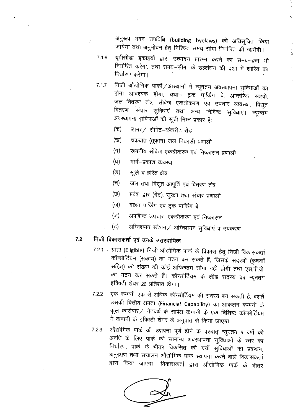अनुरूप भवन उपविधि (building byelaws) को अधिसूचित किया जायेगा तथा अनुमोदन हेतु निश्चित समय सीमा निर्धारित की जायेंगी।

- यूपीसीडा इकाइयों द्वारा उत्पादन प्रारम्भ करने का समय-क्रम भी  $7.16$ निर्धारित करेगा, तथा समय-सीमा के उल्लंघन की दशा में शास्ति का निर्धारण करेगा।
- निजी औद्योगिक पार्कों /आरथानों में न्यूनतम अवस्थापना सुविधाओं का  $7.1.7$ होना आवश्यक होगा, यथा— ट्रक पार्किंग वे, आन्तरिक सड़कें, जल–वितरण तंत्र, सीवेज एकत्रीकरण एवं उपचार व्यवस्था, विद्युत वितरण, संचार सुविधाएं तथा अन्य निर्दिष्ट सुविधाएं। न्यूनतम अवस्थापना सुविधाओं की सूची निम्न प्रकार है:
	- (क) डामर / सीमेंट-कंकरीट रोड
	- चक्रवात (तूफ़ान) जल निकासी प्रणाली (ख)
	- स्थानीय सीवेज एकत्रीकरण एवं निष्कासन प्रणाली (ग)
	- (घ) मार्ग–प्रकाश व्यवस्था
	- (ন্ড) खुले व हरित क्षेत्र
	- (च) जल तथा विद्युत आपूर्ति एवं वितरण तंत्र
	- प्रवेश द्वार (गेट), सुरक्षा तथा संचार प्रणाली (छ)
	- $(\overline{v})$ वाहन पार्किंग एवं ट्रक पार्किंग बे
	- अपशिष्ट उपचार, एकत्रीकरण एवं निष्कासन (স)
	- अग्निशमन स्टेशन / अग्निशमन सुविधाएं व उपकरण (උ)

## निजी विकासकर्ता एवं उनके उत्तरदायित्व  $7.2$

- 7.2.1 ग्राह्य (Eligible) निजी औद्योगिक पार्क के विकास हेतु निजी विकासकर्ता कॉन्सोर्टियम (संकाय) का गठन कर सकते हैं, जिसके सदस्यों (कृषकों सहित) की संख्या की कोई अधिकतम सीमा नहीं होगी तथा एस.पी.वी. का गठन कर सकते हैं। कॉन्सोर्टियम के लीड सदस्य का न्यूनतम इक्विटी शेयर 26 प्रतिशत होगा।
- एक कम्पनी एक से अधिक कॉन्सोर्टियम की सदस्य बन सकती है, बशर्ते  $7.2.2$ उसकी वित्तीय क्षमता (Financial Capability) का आकलन कम्पनी के कुल कारोबार ⁄ नेटवर्थ के सापेक्ष कम्पनी के एक विशिष्ट कॉन्सोर्टियम में कम्पनी के इक्विटी शेयर के अनुपात से किया जाएगा।
- औद्योगिक पार्क की स्थापना पूर्ण होने के पश्चात् न्यूनतम 5 वर्षों की 7.2.3 अवधि के लिए पार्क की सामान्य अवस्थापना सुविधाओं के स्तर का निर्धारण, पार्क के भीतर विकसित की गयीं सुविधाओं का प्रबन्धन, अनुरक्षण तथा संचालन औद्योगिक पार्क स्थापना करने वाले विकासकर्ता द्वारा किया जाएगा। विकासकर्ता द्वारा औद्योगिक पार्क के भीतर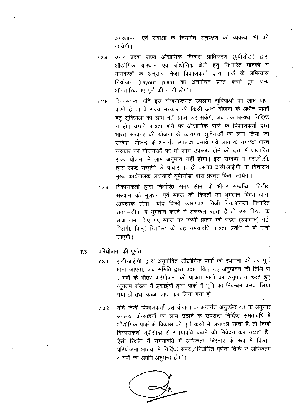अवस्थापना एवं सेवाओं के नियमित अनुरक्षण की व्यवस्था भी की जायेगी।

- उत्तर प्रदेश राज्य औद्योगिक विकास प्राधिकरण (यूपीसीडा) द्वारा  $7.2.4$ औद्योगिक आस्थान एवं औद्योगिक क्षेत्रों हेतु निर्धारित मानकों व मानदण्डों के अनुसार निजी विकासकर्ता द्वारा पार्क के अभिन्यास नियोजन (Layout plan) का अनुमोदन प्राप्त करते हुए अन्य औपचारिकताएं पूर्ण की जानी होंगी।
- विकासकर्ता यदि इस योजनान्तर्गत उपलब्ध सुविधाओं का लाभ प्राप्त  $7.2.5$ करते हैं तो वे राज्य सरकार की किसी अन्य योजना के अधीन पार्कों हेत सविधाओं का लाभ नहीं प्राप्त कर सकेंगे, जब तक अन्यथा निर्दिष्ट न हो। यद्यपि पात्रता होने पर औद्योगिक पार्क के विकासकर्ता द्वारा भारत सरकार की योजना के अन्तर्गत सुविधाओं का लाभ लिया जा सकेगा। योजना के अन्तर्गत उपलब्ध कराये गये लाभ के समकक्ष भारत सरकार की योजनाओं पर भी लाभ उपलब्ध होने की दशा में प्रस्तावित राज्य योजना में लाभ अनुमन्य नहीं होगा। इस सम्बन्ध में एस.वी.सी. द्वारा स्पष्ट संस्तुति के आधार पर ही प्रस्ताव इ.सी.आई.पी. के विचारार्थ मुख्य कार्यपालक अधिकारी यूपीसीडा द्वारा प्रस्तुत किया जायेगा।
- विकासकर्ता द्वारा निर्धारित समय–सीमा के भीतर सम्बन्धित वित्तीय 7.2.6 संस्थान को मूलधन एवं ब्याज की किश्तों का भुगतान किया जाना आवश्यक होगा। यदि किसी कारणवश निजी विकासकर्ता निर्धारित समय-सीमा में भूगतान करने में असफल रहता है तो उस किश्त के साथ जमा किए गए ब्याज पर किसी प्रकार की राहत (उपादान) नहीं मिलेगी, किन्तू डिफॉल्ट की यह समयावधि पात्रता अवधि में ही मानी जाएगी।

#### परियोजना की पूर्णता  $7.3$

- इ.सी.आई.पी. द्वारा अनुमोदित औद्योगिक पार्क की स्थापना को तब पूर्ण  $7.3.1$ माना जाएगा, जब समिति द्वारा प्रदान किए गए अनुमोदन की तिथि से 5 वर्षों के भीतर परियोजना की पात्रता भार्तों का अनुपालन करते हुए न्यूनतम संख्या में इकाईयों द्वारा पार्क में भूमि का निबन्धन करवा लिया गया हो तथा कब्जा प्राप्त कर लिया गया हो।
- यदि निजी विकासकर्ता इस योजना के अन्तर्गत अनुच्छेद 4.1 के अनुसार  $7.3.2$ उपलब्ध प्रोत्साहनों का लाभ उठाने के उपरान्त निर्दिष्ट समयावधि में औद्योगिक पार्क के विकास को पूर्ण करने में असफल रहता है, तो निजी विकासकर्ता युपीसीड़ा से समयावधि बढ़ाने की निवेदन कर सकता है। ऐसी स्थिति में समयावधि में अधिकतम विस्तार के रूप में विस्तृत परियोजना आख्या में निर्दिष्ट समय / निर्धारित पूर्णता तिथि से अधिकतम 4 वर्षों की अवधि अनुमन्य होगी।

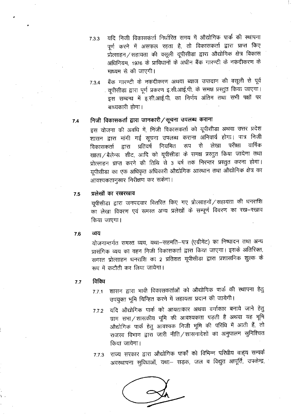- यदि निजी विकासकर्ता निर्धारित समय में औद्योगिक पार्क की स्थापना  $7.3.3$ पूर्ण करने में असफल रहता है, तो विकासकर्ता द्वारा प्राप्त किए प्रोत्साहन / सहायता की वसूली यूपीसीड़ा द्वारा औद्योगिक क्षेत्र विकास अधिनियम, 1976 के प्राविधानों के अधीन बैंक गारण्टी के नकंदीकरण के माध्यम से की जाएगी।
- बैंक गारण्टी के नकदीकरण अथवा ब्याज उपादान की वसूली से पूर्व  $7.3.4$ यूपीसीडा द्वारा पूर्ण प्रकरण इ.सी.आई.पी. के समक्ष प्रस्तुत किया जाएगा। इस सम्बन्ध में इ.सी.आई.पी. का निर्णय अंतिम तथा सभी पक्षों पर बाध्यकारी होगा।

#### निजी विकासकर्ता द्वारा जानकारी / सूचना उपलब्ध कराना  $7.4$

इस योजना की अवधि में, निजी विकासकर्ता को यूपीसीडा अथवा उत्तर प्रदेश शासन द्वारा मांगी गई सूचना उपलब्ध कराना अनिवार्य होगा। पात्र निजी परीक्षा वार्षिक विकासकर्ता द्वारा प्रतिवर्ष नियमित रूप से लेखा खाता / बैलेन्स शीट, आदि को यूपीसीडा के समक्ष प्रस्तुत किया जायेगा तथा प्रोत्साहन प्राप्त करने की तिथि से 3 वर्ष तक निरन्तर प्रस्तुत करना होगा। यूपीसीड़ा का एक अधिकृत अधिकारी औद्योगिक आस्थान तथा औद्योगिक क्षेत्र का आवश्यकतानुसार निरीक्षण कर सकेगा।

#### प्रलेखों का रखरखाव 7.5

यूपीसीडा द्वारा जनपदवार वितरित किए गए प्रोत्साहनों ⁄ सहायता की धनराशि का लेखा विवरण एवं समस्त अन्य प्रलेखों के सम्पूर्ण विवरण का रख-रखाव किया जाएगा।

#### व्यय 7.6

योजनान्तर्गत समस्त व्यय, यथा-सहमति-पत्र (एग्रीमेंट) का निष्पादन तथा अन्य प्रासंगिक व्यय का वहन निजी विकासकर्ता द्वारा किया जाएगा। इसके अतिरिक्त, समस्त प्रोत्साहन धनराशि का 2 प्रतिशत यूपीसीडा द्वारा प्रशासनिक शुल्क के रूप में कटौती कर लिया जायेगा।

#### विविध  $7.7$

- शासन द्वारा भावी विकासकर्ताओं को औद्योगिक पार्क की स्थापना हेतु  $7.7.1$ उपयुक्त भूमि चिन्हित करने में सहायता प्रदान की जायेगी।
- यदि औद्योगिक पार्क को आयताकार अथवा वर्गाकार बनाये जाने हेतु  $7.7.2$ ग्राम सभा / शासकीय भूमि की आवश्यकता पड़ती है अथवा यह भूमि औद्योगिक पार्क हेतु आवश्यक निजी भूमि की परिधि में आती हैं, तो राजस्व विभाग द्वारा जारी नीति /शासनादेशों का अनुपालन सुनिश्चित किया जायेगा।
- 7.7.3 राज्य सरकार द्वारा औद्योगिक पार्कों को विभिन्न परिधीय वाह्य सम्पर्क अवस्थापना सुविधाओं, यथा– सड़क, जल व विद्युत आपूर्ति, उपकेन्द्र,

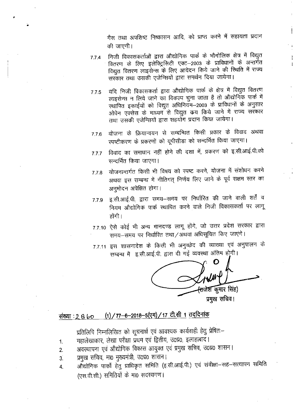गैस तथा अपशिष्ट निष्कासन आदि, को प्राप्त करने में सहायता प्रदान की जाएगी।

- निजी विकासकर्ताओं द्वारा ओद्योगिक पार्क के भौगोलिक क्षेत्र में विद्युत  $7.7.4$ वितरण के लिए इलेक्ट्रिसिटी एक्ट—2003 के प्राविधानों के अन्तर्गत विद्युत वितरण लाइसेन्स के लिए आवेदन किये जाने की स्थिति में राज्य सरकार तथा उसकी एजेन्सियों द्वारा समर्थन दिया जायेगा।
- यदि निजी विकासकर्ता द्वारा औद्योगिक पार्क के क्षेत्र में विद्युत वितरण  $7.7.5$ लाइसेन्स न लिये जाने का विकल्प चुना जाता है तो औद्योगिक पार्क में स्थापित इकाईयों को विद्युत अधिनियम-2003 के प्राविधानों के अनुसार ओपेन एक्सेस के माध्यम से विद्युत कय किये जाने में राज्य सरकार तथा उसकी एजेन्सियों द्वारा सहयोग प्रदान किया जायेगा।
- योजना के क्रियान्वयन से सम्बन्धित किसी प्रकार के विवाद अथवा 776 स्पष्टीकरण के प्रकरणों को यूपीसीडा को सन्दर्भित किया जाएगा।
- विवाद का समाधान नहीं होने की दशा में, प्रकरण को इ.सी.आई.पी.को  $7.7.7$ सन्दर्भित किया जाएगा।
- योजनान्तर्गत किसी भी विषय को स्पष्ट करने, योजना में संशोधन करने 7.7.8 अथवा इस सम्बन्ध में नीतिगत् निर्णय लिए जाने के पूर्व सक्षम स्तर का अनुमोदन अपेक्षित होगा।
- इ.सी.आई.पी. द्वारा समय–समय पर निर्धारित की जाने वाली शर्तें व 7.79 नियम औद्योगिक पार्क स्थापित करने वाले निजी विकासकर्ता पर लागू होंगी ।
- 7.7.10 ऐसे कोई भी अन्य मानदण्ड लागू होंगे, जो उत्तर प्रदेश सरकार द्वारा समय-समय पर निर्धारित तथा/अथवा अधिसूचित किए जाएंगे।
- 7.7.11 इस शासनादेश के किसी भी अनुच्छेद की व्याख्या एवं अनुपालन के सम्बन्ध में इ.सी.आई.पी. द्वारा दी गई व्यवस्था अंतिम होगी।

कूमार सिंह) प्रमुख सचिव।

## (1) / 77-6-2018-5(एम) / 17 टी.सी 1 तददिनांक संख्या : २ ६ ५०

प्रतिलिपि निम्नलिखित को सूचनार्थ एवं आवश्यक कार्यवाही हेतु प्रेषितः–

- महालेखाकार, लेखा परीक्षा प्रथम एवं द्वितीय, उ0प्र0, इलाहाबाद।  $1<sub>1</sub>$
- अवस्थापना एवं औद्योगिक विकास आयुक्त एवं प्रमुख सचिव, उ०प्र० शासन।  $\overline{2}$ .
- प्रमुख सचिव, मा0 मुख्यमंत्री, उ0प्र0 शासन।  $\overline{3}$ .
- औद्योगिक पार्कों हेतु प्राधिकृत समिति (इ.सी.आई.पी.) एवं संवीक्षा–सह–सत्यापन समिति 4. (एस.वी.सी.) समितियों के मा0 सदस्यगण।